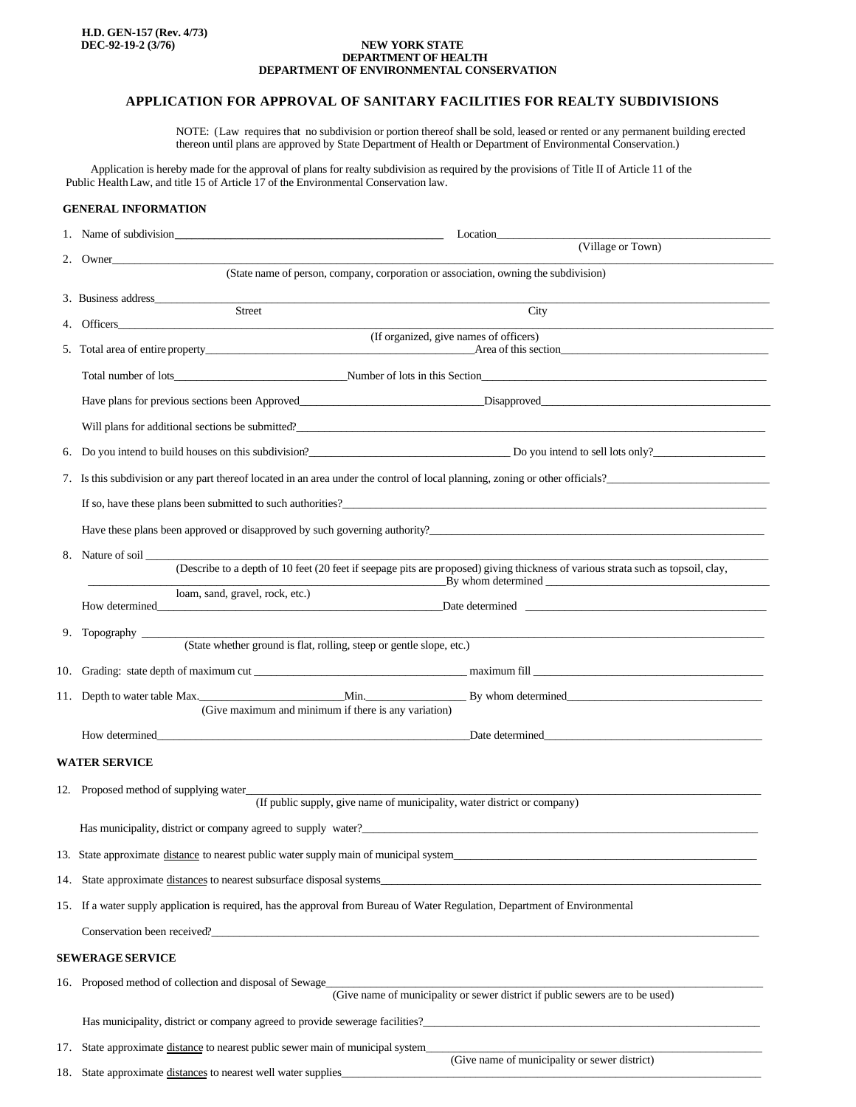#### **NEW YORK STATE DEPARTMENT OF HEALTH DEPARTMENT OF ENVIRONMENTAL CONSERVATION**

# **APPLICATION FOR APPROVAL OF SANITARY FACILITIES FOR REALTY SUBDIVISIONS**

NOTE: (Law requires that no subdivision or portion thereof shall be sold, leased or rented or any permanent building erected thereon until plans are approved by State Department of Health or Department of Environmental Conservation.)

 Application is hereby made for the approval of plans for realty subdivision as required by the provisions of Title II of Article 11 of the Public Health Law, and title 15 of Article 17 of the Environmental Conservation law.

## **GENERAL INFORMATION**

| 1.                      | Name of subdivision<br>Location                                                                                                                                                                                                                                                                                                                                                                                                                                  |  |
|-------------------------|------------------------------------------------------------------------------------------------------------------------------------------------------------------------------------------------------------------------------------------------------------------------------------------------------------------------------------------------------------------------------------------------------------------------------------------------------------------|--|
|                         | (Village or Town)<br>2. Owner                                                                                                                                                                                                                                                                                                                                                                                                                                    |  |
|                         | (State name of person, company, corporation or association, owning the subdivision)                                                                                                                                                                                                                                                                                                                                                                              |  |
|                         | 3. Business address<br>Street<br>City                                                                                                                                                                                                                                                                                                                                                                                                                            |  |
|                         | 4. Officers <b>Containers</b>                                                                                                                                                                                                                                                                                                                                                                                                                                    |  |
|                         | (If organized, give names of officers)                                                                                                                                                                                                                                                                                                                                                                                                                           |  |
|                         | Total number of lots example and number of lots in this Section                                                                                                                                                                                                                                                                                                                                                                                                  |  |
|                         |                                                                                                                                                                                                                                                                                                                                                                                                                                                                  |  |
|                         | Will plans for additional sections be submitted?                                                                                                                                                                                                                                                                                                                                                                                                                 |  |
|                         | 6. Do you intend to build houses on this subdivision?<br>Do you intend to sell lots only?                                                                                                                                                                                                                                                                                                                                                                        |  |
|                         | 7. Is this subdivision or any part thereof located in an area under the control of local planning, zoning or other officials?                                                                                                                                                                                                                                                                                                                                    |  |
|                         | If so, have these plans been submitted to such authorities?                                                                                                                                                                                                                                                                                                                                                                                                      |  |
|                         | Have these plans been approved or disapproved by such governing authority?                                                                                                                                                                                                                                                                                                                                                                                       |  |
|                         | 8. Nature of soil                                                                                                                                                                                                                                                                                                                                                                                                                                                |  |
|                         | (Describe to a depth of 10 feet (20 feet if seepage pits are proposed) giving thickness of various strata such as topsoil, clay,<br>$\overline{B}y$ whom determined $\overline{B}y$                                                                                                                                                                                                                                                                              |  |
|                         | loam, sand, gravel, rock, etc.)<br>How determined<br>Date determined The Contract of the Contract of the Contract of the Contract of the Contract of the Contract of the Contract of the Contract of the Contract of the Contract of the Contract of the Contract of the Contract o<br><u> 1990 - Johann Barbara, martin a</u>                                                                                                                                   |  |
|                         |                                                                                                                                                                                                                                                                                                                                                                                                                                                                  |  |
|                         | 9. Topography (State whether ground is flat, rolling, steep or gentle slope, etc.)                                                                                                                                                                                                                                                                                                                                                                               |  |
|                         |                                                                                                                                                                                                                                                                                                                                                                                                                                                                  |  |
|                         | 11. Depth to water table Max. Min. Min. By whom determined                                                                                                                                                                                                                                                                                                                                                                                                       |  |
|                         | (Give maximum and minimum if there is any variation)                                                                                                                                                                                                                                                                                                                                                                                                             |  |
|                         | How determined the state of the state of the state of the state of the state of the state of the state of the state of the state of the state of the state of the state of the state of the state of the state of the state of<br>Date determined and the state of the state of the state of the state of the state of the state of the state of the state of the state of the state of the state of the state of the state of the state of the state of the sta |  |
| <b>WATER SERVICE</b>    |                                                                                                                                                                                                                                                                                                                                                                                                                                                                  |  |
|                         | 12. Proposed method of supplying water_______<br>(If public supply, give name of municipality, water district or company)                                                                                                                                                                                                                                                                                                                                        |  |
|                         |                                                                                                                                                                                                                                                                                                                                                                                                                                                                  |  |
|                         | 13. State approximate distance to nearest public water supply main of municipal system                                                                                                                                                                                                                                                                                                                                                                           |  |
|                         | 14. State approximate distances to nearest subsurface disposal systems                                                                                                                                                                                                                                                                                                                                                                                           |  |
|                         | 15. If a water supply application is required, has the approval from Bureau of Water Regulation, Department of Environmental                                                                                                                                                                                                                                                                                                                                     |  |
|                         |                                                                                                                                                                                                                                                                                                                                                                                                                                                                  |  |
| <b>SEWERAGE SERVICE</b> |                                                                                                                                                                                                                                                                                                                                                                                                                                                                  |  |
|                         |                                                                                                                                                                                                                                                                                                                                                                                                                                                                  |  |
|                         | 16. Proposed method of collection and disposal of Sewage<br>(Give name of municipality or sewer district if public sewers are to be used)                                                                                                                                                                                                                                                                                                                        |  |
|                         | Has municipality, district or company agreed to provide sewerage facilities?                                                                                                                                                                                                                                                                                                                                                                                     |  |
| 17.                     | State approximate distance to nearest public sewer main of municipal system_                                                                                                                                                                                                                                                                                                                                                                                     |  |
|                         | (Give name of municipality or sewer district)<br>18. State approximate distances to nearest well water supplies_                                                                                                                                                                                                                                                                                                                                                 |  |